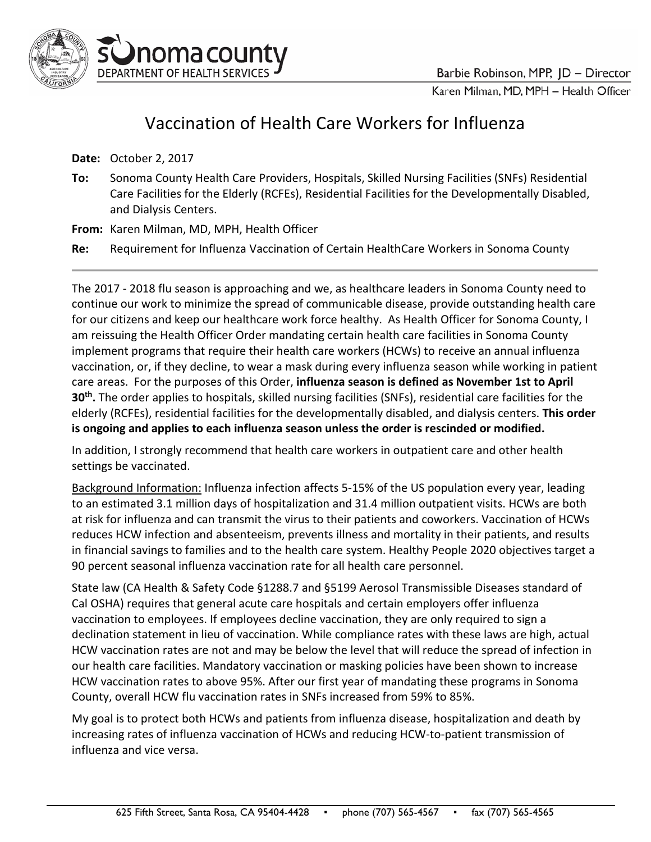

Karen Milman, MD, MPH - Health Officer

## Vaccination of Health Care Workers for Influenza

**Date:** October 2, 2017

**To:** Sonoma County Health Care Providers, Hospitals, Skilled Nursing Facilities (SNFs) Residential Care Facilities for the Elderly (RCFEs), Residential Facilities for the Developmentally Disabled, and Dialysis Centers.

**From:** Karen Milman, MD, MPH, Health Officer

noma county

DEPARTMENT OF HEALTH SERVICES

**Re:** Requirement for Influenza Vaccination of Certain HealthCare Workers in Sonoma County

The 2017 - 2018 flu season is approaching and we, as healthcare leaders in Sonoma County need to continue our work to minimize the spread of communicable disease, provide outstanding health care for our citizens and keep our healthcare work force healthy. As Health Officer for Sonoma County, I am reissuing the Health Officer Order mandating certain health care facilities in Sonoma County implement programs that require their health care workers (HCWs) to receive an annual influenza vaccination, or, if they decline, to wear a mask during every influenza season while working in patient care areas. For the purposes of this Order, **influenza season is defined as November 1st to April 30th.** The order applies to hospitals, skilled nursing facilities (SNFs), residential care facilities for the elderly (RCFEs), residential facilities for the developmentally disabled, and dialysis centers. **This order is ongoing and applies to each influenza season unless the order is rescinded or modified.**

In addition, I strongly recommend that health care workers in outpatient care and other health settings be vaccinated.

Background Information: Influenza infection affects 5-15% of the US population every year, leading to an estimated 3.1 million days of hospitalization and 31.4 million outpatient visits. HCWs are both at risk for influenza and can transmit the virus to their patients and coworkers. Vaccination of HCWs reduces HCW infection and absenteeism, prevents illness and mortality in their patients, and results in financial savings to families and to the health care system. Healthy People 2020 objectives target a 90 percent seasonal influenza vaccination rate for all health care personnel.

State law (CA Health & Safety Code §1288.7 and §5199 Aerosol Transmissible Diseases standard of Cal OSHA) requires that general acute care hospitals and certain employers offer influenza vaccination to employees. If employees decline vaccination, they are only required to sign a declination statement in lieu of vaccination. While compliance rates with these laws are high, actual HCW vaccination rates are not and may be below the level that will reduce the spread of infection in our health care facilities. Mandatory vaccination or masking policies have been shown to increase HCW vaccination rates to above 95%. After our first year of mandating these programs in Sonoma County, overall HCW flu vaccination rates in SNFs increased from 59% to 85%.

My goal is to protect both HCWs and patients from influenza disease, hospitalization and death by increasing rates of influenza vaccination of HCWs and reducing HCW-to-patient transmission of influenza and vice versa.